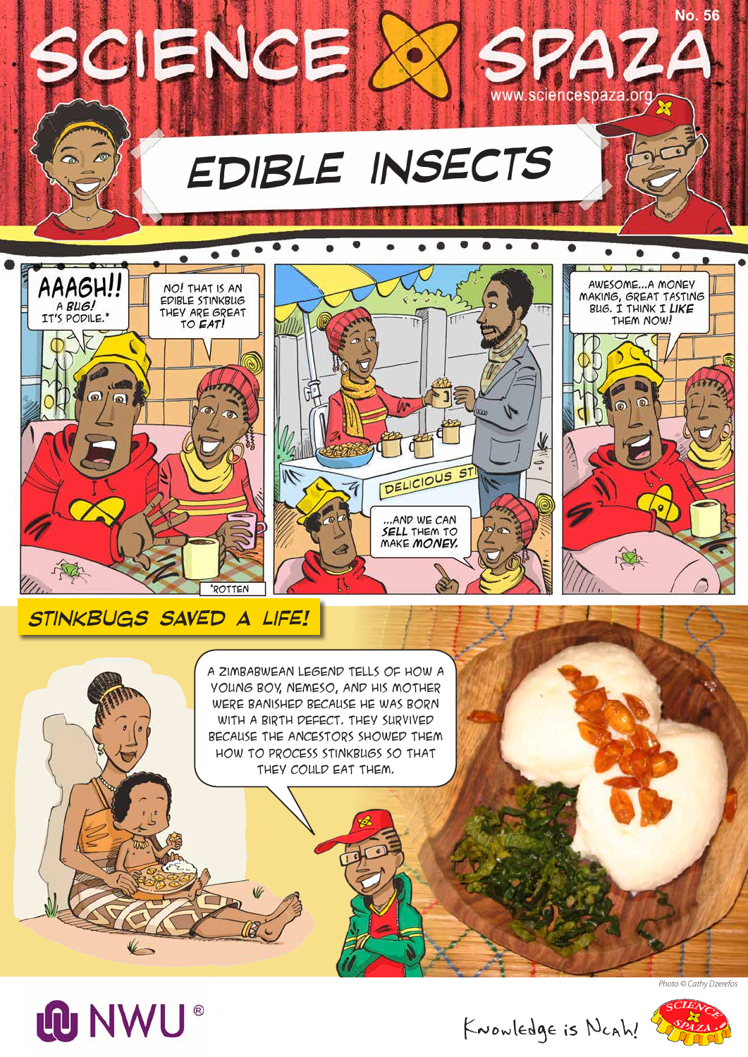





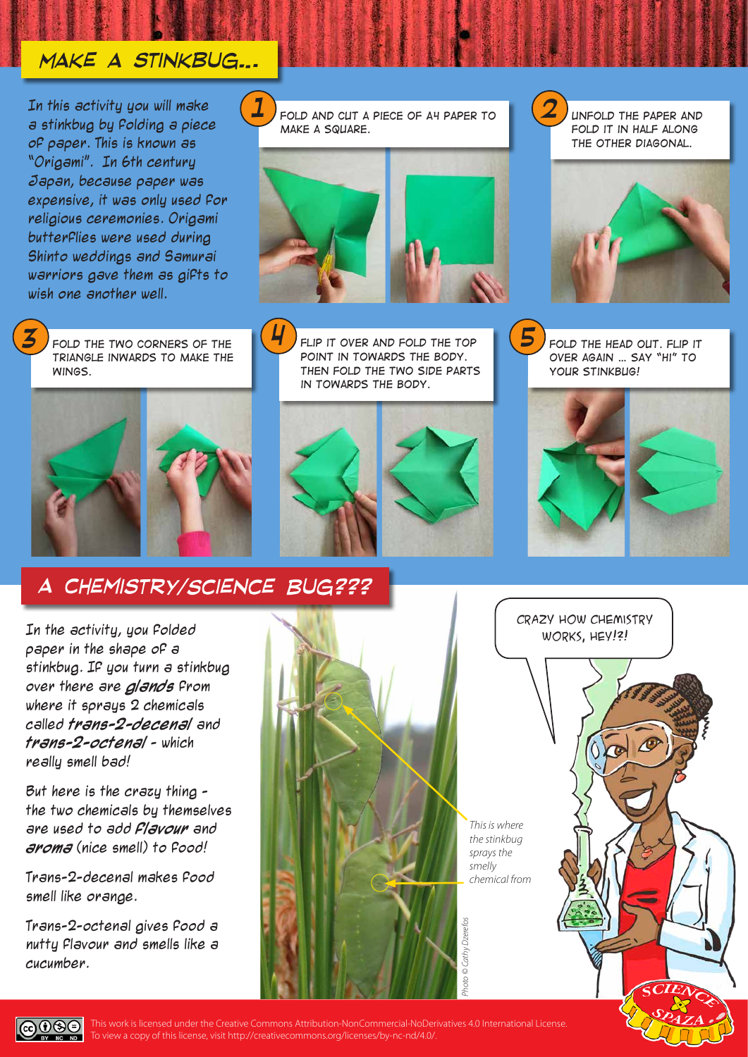## *Make a stinkbug…*

In this activity you will make a stinkbug by folding a piece of paper. This is known as "Origami". In 6th century Japan, because paper was expensive, it was only used for religious ceremonies. Origami butterflies were used during Shinto weddings and Samurai warriors gave them as gifts to wish one another well.



*triangle inwards to make the wings.*





*FOLD THE TWO CORNERS OF THE*  $\left($ **<sup>***F***</sup>** *P FLIP IT OVER AND FOLD THE TOP point in towards the body. Then fold the two side parts in towards the body.* **FLIP IT OVER AND FOLD THE TOP |**  $\bigcirc$  **J FOLD THE HEAD OUT. FLIP IT** 



*over again … say "Hi" to your stinkbug! 5*

*fold it in half along the other diagonal.*

*2*



## *A Chemistry/Science Bug???*

In the activity, you folded paper in the shape of a stinkbug. If you turn a stinkbug over there are **glands** from where it sprays 2 chemicals called **trans-2-decenal** and **trans-2-octenal** - which really smell bad!

But here is the crazy thing the two chemicals by themselves are used to add **flavour** and **aroma** (nice smell) to food!

Trans-2-decenal makes food smell like orange.

Trans-2-octenal gives food a nutty flavour and smells like a cucumber.

 $0$  $\Theta$ ND.





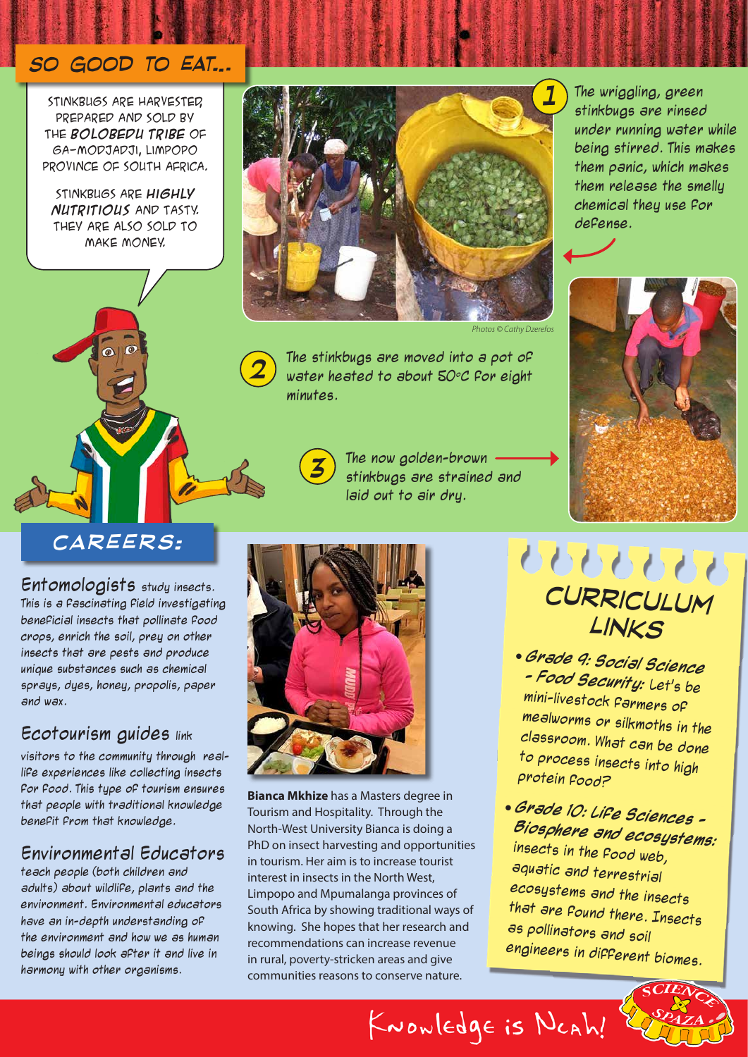## *So good to eat…*

Stinkbugs are harvested, prepared and sold by the **Bolobedu tribe** of Ga-Modjadji, Limpopo Province of South Africa.

Stinkbugs are **highly nutritious** and tasty. They are also sold to make money.



*Photos © Cathy Dzerefos*

The stinkbugs are moved into a pot of water heated to about  $50^{\circ}$ C for eight minutes.

> The now golden-brown stinkbugs are strained and laid out to air dry.

The wriggling, green stinkbugs are rinsed under running water while being stirred. This makes them panic, which makes them release the smelly chemical they use for defense.



## *careers:*

Entomologists study insects. This is a fascinating field investigating beneficial insects that pollinate food crops, enrich the soil, prey on other insects that are pests and produce unique substances such as chemical sprays, dyes, honey, propolis, paper and wax.

### Ecotourism guides link

visitors to the community through reallife experiences like collecting insects for food. This type of tourism ensures that people with traditional knowledge benefit from that knowledge.

### Environmental Educators

teach people (both children and adults) about wildlife, plants and the environment. Environmental educators have an in-depth understanding of the environment and how we as human beings should look after it and live in harmony with other organisms.



*3*

*2*

**Bianca Mkhize** has a Masters degree in Tourism and Hospitality. Through the North-West University Bianca is doing a PhD on insect harvesting and opportunities in tourism. Her aim is to increase tourist interest in insects in the North West, Limpopo and Mpumalanga provinces of South Africa by showing traditional ways of knowing. She hopes that her research and recommendations can increase revenue in rural, poverty-stricken areas and give communities reasons to conserve nature.

# **88888** *curriculum links*

- **Grade 9: Social Science - Food Security:** Let's be mini-livestock farmers of mealworms or silkmoths in the classroom. What can be done to process insects into high protein food?
- **Grade 10: Life Sciences Biosphere and ecosystems:**  insects in the food web, aquatic and terrestrial ecosystems and the insects that are found there. Insects as pollinators and soil engineers in different biomes.

KNOWlEDge is NCAh!